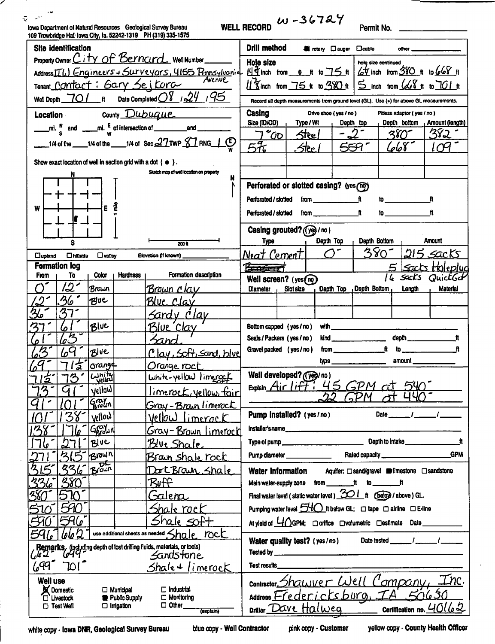|                                                                                                                                  |                                                |                                          |                                                                       | $10 - 36724$                                                                                                                                                                                                                                                                                                                                                                                                                                                                                                 |
|----------------------------------------------------------------------------------------------------------------------------------|------------------------------------------------|------------------------------------------|-----------------------------------------------------------------------|--------------------------------------------------------------------------------------------------------------------------------------------------------------------------------------------------------------------------------------------------------------------------------------------------------------------------------------------------------------------------------------------------------------------------------------------------------------------------------------------------------------|
| lowa Department of Natural Resources Geological Survey Bureau<br>109 Trowbridge Hall Iowa City, Ia. 52242-1319 PH (319) 335-1575 |                                                |                                          |                                                                       | <b>WELL RECORD</b><br>Permit No. _______                                                                                                                                                                                                                                                                                                                                                                                                                                                                     |
| <b>Site identification</b>                                                                                                       |                                                |                                          |                                                                       | Drill method<br><b>El rotary Clauger</b><br>$\Box$ cable<br>other                                                                                                                                                                                                                                                                                                                                                                                                                                            |
|                                                                                                                                  | Property Owner City of Bernard Well Number     |                                          |                                                                       | <b>Hole size</b><br>hole size continued                                                                                                                                                                                                                                                                                                                                                                                                                                                                      |
|                                                                                                                                  |                                                |                                          | Address III. Engineers + Surveyors, 4155 Pennsylvania                 | $14\overline{4}$ inch from 0 ft to $75$ ft $6\overline{4}$ inch from 380 ft to $66\overline{8}$ ft                                                                                                                                                                                                                                                                                                                                                                                                           |
| Tenant Contact: Gary Seitora                                                                                                     |                                                |                                          |                                                                       | 13 inch from 75 ft to 380 ft 5 inch from 668 ft to 701 ft                                                                                                                                                                                                                                                                                                                                                                                                                                                    |
| Well Depth 70 /                                                                                                                  | $\mathbf{t}$                                   |                                          | Date Completed $O$ $\frac{1}{2}$ / $\frac{24}{1}$ / $\frac{95}{1}$    | Record all depth moasurements from ground level (GL). Use (+) for above GL measurements.                                                                                                                                                                                                                                                                                                                                                                                                                     |
| Location                                                                                                                         |                                                |                                          | $_{\text{Country}}$ $\text{Dubuque}$                                  | Casing<br>Drive shoe (yes / no)<br>Pitless adaptor (yes / no)                                                                                                                                                                                                                                                                                                                                                                                                                                                |
|                                                                                                                                  |                                                |                                          |                                                                       | Size (ID/OD)<br>Type / Wt<br>Depth bottom Amount (length)<br>Depth top                                                                                                                                                                                                                                                                                                                                                                                                                                       |
|                                                                                                                                  |                                                |                                          | __1/4 of the ____1/4 of the ____1/4 of Sec $27$ TWP $87$ RNG $\pm$ CD | $-2^{-}$<br>382<br>7"00"<br>ዳየ() -<br><b>Steel</b>                                                                                                                                                                                                                                                                                                                                                                                                                                                           |
|                                                                                                                                  |                                                |                                          |                                                                       | 5F<br>668<br>. Stee 1                                                                                                                                                                                                                                                                                                                                                                                                                                                                                        |
| Show exact location of well in section grid with a dot $( \bullet )$ .                                                           |                                                |                                          |                                                                       |                                                                                                                                                                                                                                                                                                                                                                                                                                                                                                              |
|                                                                                                                                  |                                                |                                          | Sketch map of well location on property<br>N                          |                                                                                                                                                                                                                                                                                                                                                                                                                                                                                                              |
|                                                                                                                                  |                                                |                                          |                                                                       | Perforated or slotted casing? (yes (??)                                                                                                                                                                                                                                                                                                                                                                                                                                                                      |
|                                                                                                                                  |                                                |                                          |                                                                       | Perforated / slotted<br>from $\frac{1}{\sqrt{1-\frac{1}{2}}}\mathfrak{f}$<br>$\mathfrak{w}_{\text{max}}$<br>ft                                                                                                                                                                                                                                                                                                                                                                                               |
| W                                                                                                                                | E                                              |                                          |                                                                       | ft<br>to<br>Ħ<br>Perforated / slotted<br>from _________                                                                                                                                                                                                                                                                                                                                                                                                                                                      |
|                                                                                                                                  |                                                |                                          |                                                                       | Casing grouted? (yes / no)                                                                                                                                                                                                                                                                                                                                                                                                                                                                                   |
| S                                                                                                                                |                                                |                                          | 200h                                                                  | Depth Top<br>Depth Bottom<br>Amount<br>Турө                                                                                                                                                                                                                                                                                                                                                                                                                                                                  |
| $\Box$ upland                                                                                                                    | <b>U</b> hillside<br>$\Box$ valley             |                                          | Elevation (if known) __                                               | $380 -$<br>הוב<br><b>Sacks</b><br>Neat Cement1                                                                                                                                                                                                                                                                                                                                                                                                                                                               |
| <b>Formation log</b>                                                                                                             |                                                |                                          |                                                                       | <b>Represent</b><br>Sacts ttoleplud                                                                                                                                                                                                                                                                                                                                                                                                                                                                          |
| To<br>From                                                                                                                       | Color                                          | Hardness <sub>1</sub>                    | Formation description                                                 | sacks<br>QuictGet<br>16<br>Well screen? (yes(no)                                                                                                                                                                                                                                                                                                                                                                                                                                                             |
| 121                                                                                                                              | Brawn                                          |                                          | <u>Brown clav</u>                                                     | <b>Diameter</b><br>Slot size<br>Depth Top Depth Bottom<br><b>Material</b><br>Length                                                                                                                                                                                                                                                                                                                                                                                                                          |
| 36                                                                                                                               | <b>PEUC</b>                                    |                                          | Blue Clav                                                             |                                                                                                                                                                                                                                                                                                                                                                                                                                                                                                              |
| 37                                                                                                                               |                                                |                                          | <u>Sandy Clay</u>                                                     |                                                                                                                                                                                                                                                                                                                                                                                                                                                                                                              |
| ろ<br>6                                                                                                                           | Blue                                           |                                          | <u> Blue Clay</u>                                                     | Bottom capped (yes / no)                                                                                                                                                                                                                                                                                                                                                                                                                                                                                     |
| 63                                                                                                                               |                                                |                                          | Fand                                                                  | Seals / Packers (yes / no)<br>$\mathsf{kind}$                                                                                                                                                                                                                                                                                                                                                                                                                                                                |
| 6 <sup>q</sup>                                                                                                                   | Blue                                           |                                          | Clay, Soft, Sand, blue                                                | from $\frac{1}{\sqrt{1-\frac{1}{2}}\sqrt{1-\frac{1}{2}}\sqrt{1-\frac{1}{2}}\sqrt{1-\frac{1}{2}}\sqrt{1-\frac{1}{2}}\sqrt{1-\frac{1}{2}}\sqrt{1-\frac{1}{2}}\sqrt{1-\frac{1}{2}}\sqrt{1-\frac{1}{2}}\sqrt{1-\frac{1}{2}}\sqrt{1-\frac{1}{2}}\sqrt{1-\frac{1}{2}}\sqrt{1-\frac{1}{2}}\sqrt{1-\frac{1}{2}}\sqrt{1-\frac{1}{2}}\sqrt{1-\frac{1}{2}}\sqrt{1-\frac{1}{2}}\sqrt{1-\frac{1}{2}}\sqrt{1-\frac{1}{2}}\$<br>$\ddot{\textbf{r}}$<br>Gravel packed (yes / no)<br>$\mathsf{to}$ . The set of $\mathsf{to}$ |
|                                                                                                                                  | orang4<br>ヹ                                    |                                          | <u>Orange roct</u>                                                    | amount and the control of the control of the control of the control of the control of the control of the control of the control of the control of the control of the control of the control of the control of the control of t<br><u>type ——————————</u>                                                                                                                                                                                                                                                     |
| 13<br><u>'2</u>                                                                                                                  | $\frac{L}{2}$                                  |                                          | $Unit$ -yellow limeroget                                              | Well developed? (Veg/no)                                                                                                                                                                                                                                                                                                                                                                                                                                                                                     |
| ろ<br>G                                                                                                                           | vellow]                                        |                                          | <u>limerock, vellow, fair</u>                                         | Explain Air liff: 45 GPM at                                                                                                                                                                                                                                                                                                                                                                                                                                                                                  |
|                                                                                                                                  | $ \mathcal{C}^{\mathit{row}}_{\mathit{roll}} $ |                                          | Gray-Brain limerock                                                   | 22<br><b>GPM</b>                                                                                                                                                                                                                                                                                                                                                                                                                                                                                             |
| 38                                                                                                                               | vellow                                         |                                          | <u>Vellow limerack</u>                                                | Date $\frac{1}{\sqrt{1-\frac{1}{2}}}$<br>Pump installed? (yes/no)                                                                                                                                                                                                                                                                                                                                                                                                                                            |
|                                                                                                                                  | GEOLIN                                         |                                          | <u> Gray-Brown Limerack</u>                                           |                                                                                                                                                                                                                                                                                                                                                                                                                                                                                                              |
|                                                                                                                                  | Blue                                           |                                          | <u> Blue Shale</u>                                                    |                                                                                                                                                                                                                                                                                                                                                                                                                                                                                                              |
| 3.5                                                                                                                              | Brown                                          |                                          | <u>Braun shale rock</u>                                               | <b>GPM</b><br>Pump diameter _______________                                                                                                                                                                                                                                                                                                                                                                                                                                                                  |
| 336<br>315                                                                                                                       | Brown                                          |                                          | Dort Brain Shale                                                      | Aquifer: □sand/grave! ■limestone □sandstone<br>Water Information                                                                                                                                                                                                                                                                                                                                                                                                                                             |
| <u>380°</u><br>፟፟፟፟፟፟፟፟፟ጞፚ                                                                                                       |                                                |                                          | Buff                                                                  | Main water-supply zone from ________ft to ________ft                                                                                                                                                                                                                                                                                                                                                                                                                                                         |
| 380<br>510                                                                                                                       |                                                |                                          | <u> Galena </u>                                                       | Final water lavel (static water lavel) $30!$ ft $($ below / above ) GL.                                                                                                                                                                                                                                                                                                                                                                                                                                      |
| 590                                                                                                                              |                                                |                                          | Shale rock                                                            | Pumping water level $540$ it below GL; $\Box$ tape $\Box$ airline $\Box$ E-line                                                                                                                                                                                                                                                                                                                                                                                                                              |
| 596'                                                                                                                             |                                                |                                          | Shale SOf+                                                            | At yield of <u>U</u> / GPM; □ orifice □ volumetric □ estimate Date ________                                                                                                                                                                                                                                                                                                                                                                                                                                  |
| use additional sheets as needed $\leq$ $ha$ $e$ $Rc$<br>lab2                                                                     |                                                |                                          |                                                                       |                                                                                                                                                                                                                                                                                                                                                                                                                                                                                                              |
| <b>Remarks</b> , (including depth of lost drilling fluids, materials, or tools)<br>6 de 2 de 1949                                |                                                |                                          |                                                                       |                                                                                                                                                                                                                                                                                                                                                                                                                                                                                                              |
|                                                                                                                                  | Sandstone                                      |                                          |                                                                       |                                                                                                                                                                                                                                                                                                                                                                                                                                                                                                              |
| 699<br>7017                                                                                                                      |                                                |                                          | $Shale + limercck$                                                    | Test results                                                                                                                                                                                                                                                                                                                                                                                                                                                                                                 |
| <b>Well use</b>                                                                                                                  |                                                |                                          |                                                                       | <u>Inc.</u><br>contractor, Shawver Well Company,                                                                                                                                                                                                                                                                                                                                                                                                                                                             |
| <b>X</b> Domestic<br>C Livestock                                                                                                 |                                                | $\Box$ Municipal<br><b>Public Supply</b> | $\Box$ Industrial<br>$\Box$ Monitoring                                | Address Fredericksburg, IA 50630                                                                                                                                                                                                                                                                                                                                                                                                                                                                             |
| $\square$ Test Well                                                                                                              |                                                | $\Box$ Irrigation                        | $\Box$ Other $\Box$<br>(explain)                                      | Certification no. $40162$<br>Driller Dave Halweg                                                                                                                                                                                                                                                                                                                                                                                                                                                             |

white copy - Iowa DNR, Geological Survey Bureau

╱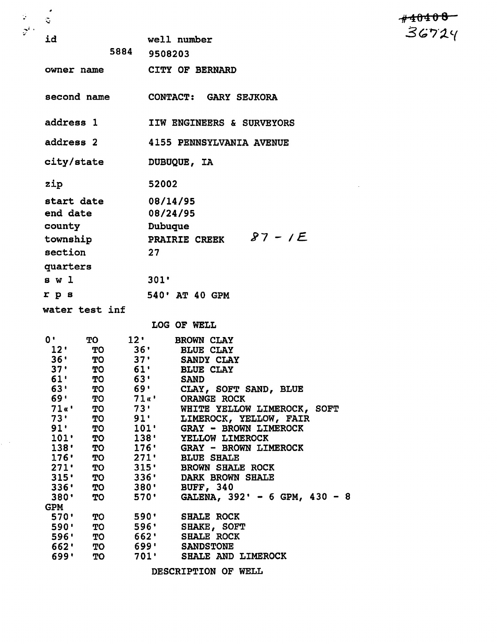| id               |               | well number                                             |  |  |
|------------------|---------------|---------------------------------------------------------|--|--|
|                  |               | 5884 9508203                                            |  |  |
|                  |               |                                                         |  |  |
| owner name       |               | <b>CITY OF BERNARD</b>                                  |  |  |
| second name      |               | <b>CONTACT: GARY SEJKORA</b>                            |  |  |
| address 1        |               | <b>IIW ENGINEERS &amp; SURVEYORS</b>                    |  |  |
| address 2        |               | <b>4155 PENNSYLVANIA AVENUE</b>                         |  |  |
|                  |               | city/state DUBUQUE, IA                                  |  |  |
| zip              |               | 52002                                                   |  |  |
| start date       |               | 08/14/95                                                |  |  |
| end date         |               | 08/24/95                                                |  |  |
| county           |               | Dubuque                                                 |  |  |
| township         |               | $87 - 1E$<br><b>PRAIRIE CREEK</b>                       |  |  |
|                  |               |                                                         |  |  |
| section          |               | 27                                                      |  |  |
| quarters         |               |                                                         |  |  |
| s w l            |               | 301'                                                    |  |  |
| rps              |               | 540' AT 40 GPM                                          |  |  |
| water test inf   |               |                                                         |  |  |
|                  |               | LOG OF WELL                                             |  |  |
| $\mathbf{0}$ .   | <b>TO</b>     | 12'<br><b>BROWN CLAY</b>                                |  |  |
| $12'$ TO         | 36'           | <b>BLUE CLAY</b>                                        |  |  |
|                  |               | 36' TO 37' SANDY CLAY                                   |  |  |
| 37 <sup>°</sup>  |               | TO 61' BLUE CLAY                                        |  |  |
| 61'<br><b>TO</b> |               | 63' SAND                                                |  |  |
| 63'<br>69'       | <b>TO</b> 69' | CLAY, SOFT SAND, BLUE<br>TO 71«' ORANGE ROCK            |  |  |
|                  |               | 71«' TO 73' WHITE YELLOW LIMEROCK, SOFT                 |  |  |
|                  |               | 73' TO 91' LIMEROCK, YELLOW, FAIR                       |  |  |
|                  |               | 91' TO 101' GRAY - BROWN LIMEROCK                       |  |  |
|                  |               | 101' TO 138' YELLOW LIMEROCK                            |  |  |
|                  |               | 138' TO 176' GRAY - BROWN LIMEROCK                      |  |  |
|                  |               | 176' TO 271' BLUE SHALE                                 |  |  |
|                  |               | 271' TO 315' BROWN SHALE ROCK                           |  |  |
|                  |               | 315' TO 336' DARK BROWN SHALE<br>336' TO 380' BUFF, 340 |  |  |
| $380'$ TO $570'$ |               | GALENA, 392' - 6 GPM, 430 -                             |  |  |
| <b>GPM</b>       |               |                                                         |  |  |
|                  |               | 570' TO 590' SHALE ROCK                                 |  |  |
|                  |               | 590' TO 596' SHAKE, SOFT                                |  |  |
|                  |               | 596' TO 662' SHALE ROCK                                 |  |  |
| 662' TO          |               | <b>699' SANDSTONE</b>                                   |  |  |
| 699' TO          |               | 701' SHALE AND LIMEROCK                                 |  |  |

*.#-£04 0 0 '*

 $\mathcal{L}^{\text{max}}_{\text{max}}$  , where  $\mathcal{L}^{\text{max}}_{\text{max}}$ 

*DESCRIPTION OF WELL*

*•,' •*

ing).<br>S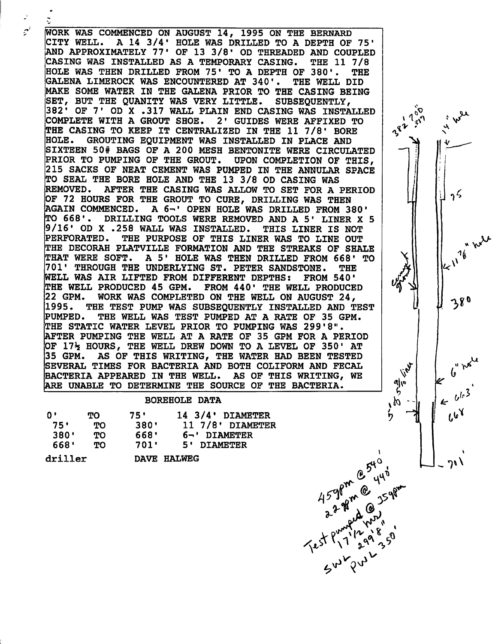WORK WAS COMMENCED ON AUGUST 14, 1995 ON THE BERNARD CITY WELL. A 14 3/4' HOLE WAS DRILLED TO A DEPTH OF 75' AND APPROXIMATELY 77' OF 13 3/8' OD THREADED AND COUPLED CASING WAS INSTALLED AS A TEMPORARY CASING. THE 11 7/8 HOLE WAS THEN DRILLED FROM 75' TO A DEPTH OF 380'. THE GALENA LIMEROCK WAS ENCOUNTERED AT 340'. THE WELL DID MAKE SOME WATER IN THE GALENA PRIOR TO THE CASING BEING SET, BUT THE QUANITY WAS VERY LITTLE. SUBSEQUENTLY, 382' OF 7' OD X .317 WALL PLAIN END CASING WAS INSTALLED COMPLETE WITH A GROUT SHOE. 2' GUIDES WERE AFFIXED TO THE CASING TO KEEP IT CENTRALIZED IN THE 11 7/8' BORE<br>HOLE. GROUTING EOUIPMENT WAS INSTALLED IN PLACE AND GROUTING EQUIPMENT WAS INSTALLED IN PLACE AND SIXTEEN 50# BAGS OF A 200 MESH BENTONITE WERE CIRCULATED PRIOR TO PUMPING OF THE GROUT. UPON COMPLETION OF THIS, 215 SACKS OF NEAT CEMENT WAS PUMPED IN THE ANNULAR SPACE TO SEAL THE BORE HOLE AND THE 13 3/8 OD CASING WAS REMOVED. AFTER THE CASING WAS ALLOW TO SET FOR A PERIOD OF 72 HOURS FOR THE GROUT TO CURE, DRILLING WAS THEN AGAIN COMMENCED. A 6-' OPEN HOLE WAS DRILLED FROM 380' TO 668'. DRILLING TOOLS WERE REMOVED AND A 5' LINER X 5 9/16' OD X .258 WALL WAS INSTALLED. THIS LINER IS NOT PERFORATED. THE PURPOSE OF THIS LINER WAS TO LINE OUT THE DECORAH PLATVILLE FORMATION AND THE STREAKS OF SHALE THAT WERE SOFT. A 5' HOLE WAS THEN DRILLED FROM 668' TO 701' THROUGH THE UNDERLYING ST. PETER SANDSTONE. THE WELL WAS AIR LIFTED FROM DIFFERENT DEPTHS: FROM 540' THE WELL PRODUCED 45 GPM. FROM 440' THE WELL PRODUCED 22 GPM. WORK WAS COMPLETED ON THE WELL ON AUGUST 24, 1995. THE TEST PUMP WAS SUBSEQUENTLY INSTALLED AND TEST PUMPED. THE WELL WAS TEST PUMPED AT A RATE OF 35 GPM. THE STATIC WATER LEVEL PRIOR TO PUMPING WAS 299'8". AFTER PUMPING THE WELL AT A RATE OF 35 GPM FOR A PERIOD OF  $17\frac{1}{2}$  HOURS, THE WELL DREW DOWN TO A LEVEL OF 350' AT 35 GPM. AS OF THIS WRITING, THE WATER HAD BEEN TESTED SEVERAL TIMES FOR BACTERIA AND BOTH COLIFORM AND FECAL BACTERIA APPEARED IN THE WELL. AS OF THIS WRITING, WE ARE UNABLE TO DETERMINE THE SOURCE OF THE BACTERIA.

## BOREHOLE DATA

| 0'      | TO. | 75'  | $14$ $3/4$ DIAMETER |
|---------|-----|------|---------------------|
| 75'     | TО  | 380' | 11 7/8' DIAMETER    |
| 380'    | TО  | 668' | 6-' DIAMETER        |
| 668'    | TО. | 701' | 5' DIAMETER         |
| driller |     |      | DAVE HALWEG         |

 $\sigma^2$ 

*\*\*?• A*

 $\frac{1}{2}v^{1/2}$   $\frac{1}{2}v^{1/2}$ 

*% ^*

 $25$ 

380

•1 >\*

*.^*

 $\iota^{\mathsf{v}^\mathsf{v}}$ 

*o^*

gr

Ł

 $k^{\prime}$ 

*-PI I!*

*//2001* 

*\*

alle<br>*b*<br>18

 $\mathbf{\acute{b}}$